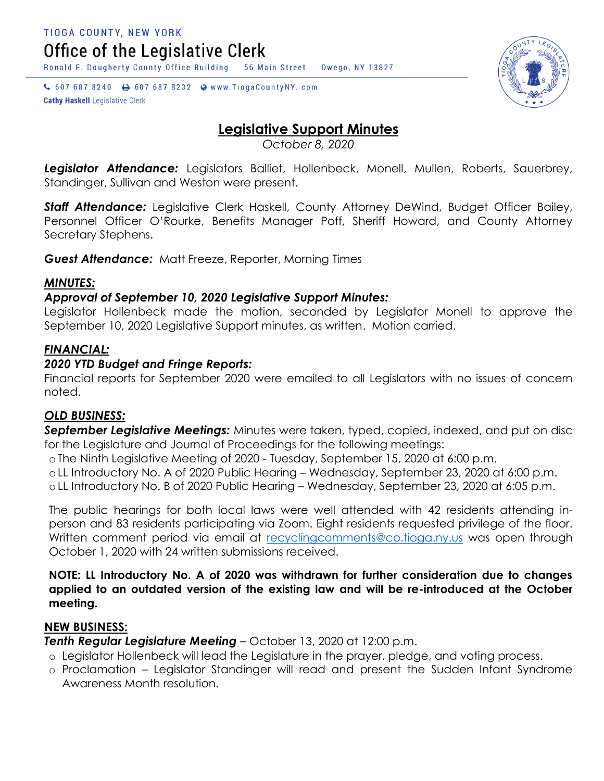TIOGA COUNTY, NEW YORK

Office of the Legislative Clerk

Ronald E. Dougherty County Office Building 56 Main Street Owego, NY 13827

↓ 607 687 8240 → 607 687 8232 → www.TiogaCountyNY.com **Cathy Haskell Legislative Clerk** 



# **Legislative Support Minutes**

*October 8, 2020*

*Legislator Attendance:* Legislators Balliet, Hollenbeck, Monell, Mullen, Roberts, Sauerbrey, Standinger, Sullivan and Weston were present.

**Staff Attendance:** Legislative Clerk Haskell, County Attorney DeWind, Budget Officer Bailey, Personnel Officer O'Rourke, Benefits Manager Poff, Sheriff Howard, and County Attorney Secretary Stephens.

*Guest Attendance:* Matt Freeze, Reporter, Morning Times

### *MINUTES:*

### *Approval of September 10, 2020 Legislative Support Minutes:*

Legislator Hollenbeck made the motion, seconded by Legislator Monell to approve the September 10, 2020 Legislative Support minutes, as written. Motion carried.

## *FINANCIAL:*

### *2020 YTD Budget and Fringe Reports:*

Financial reports for September 2020 were emailed to all Legislators with no issues of concern noted.

### *OLD BUSINESS:*

*September Legislative Meetings:* Minutes were taken, typed, copied, indexed, and put on disc for the Legislature and Journal of Proceedings for the following meetings:

o The Ninth Legislative Meeting of 2020 - Tuesday, September 15, 2020 at 6:00 p.m.

o LL Introductory No. A of 2020 Public Hearing – Wednesday, September 23, 2020 at 6:00 p.m.

o LL Introductory No. B of 2020 Public Hearing – Wednesday, September 23, 2020 at 6:05 p.m.

The public hearings for both local laws were well attended with 42 residents attending inperson and 83 residents participating via Zoom. Eight residents requested privilege of the floor. Written comment period via email at recycling comments@co.tioga.ny.us was open through October 1, 2020 with 24 written submissions received.

**NOTE: LL Introductory No. A of 2020 was withdrawn for further consideration due to changes applied to an outdated version of the existing law and will be re-introduced at the October meeting.** 

### **NEW BUSINESS:**

*Tenth Regular Legislature Meeting* – October 13, 2020 at 12:00 p.m.

- o Legislator Hollenbeck will lead the Legislature in the prayer, pledge, and voting process.
- o Proclamation Legislator Standinger will read and present the Sudden Infant Syndrome Awareness Month resolution.